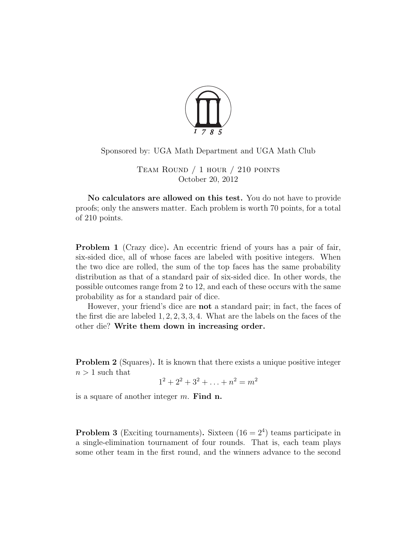

Sponsored by: UGA Math Department and UGA Math Club

Team Round / 1 hour / 210 points October 20, 2012

No calculators are allowed on this test. You do not have to provide proofs; only the answers matter. Each problem is worth 70 points, for a total of 210 points.

<span id="page-0-0"></span>Problem 1 (Crazy dice). An eccentric friend of yours has a pair of fair, six-sided dice, all of whose faces are labeled with positive integers. When the two dice are rolled, the sum of the top faces has the same probability distribution as that of a standard pair of six-sided dice. In other words, the possible outcomes range from 2 to 12, and each of these occurs with the same probability as for a standard pair of dice.

However, your friend's dice are not a standard pair; in fact, the faces of the first die are labeled 1, 2, 2, 3, 3, 4. What are the labels on the faces of the other die? Write them down in increasing order.

<span id="page-0-1"></span>**Problem 2** (Squares). It is known that there exists a unique positive integer  $n > 1$  such that

$$
1^2 + 2^2 + 3^2 + \ldots + n^2 = m^2
$$

is a square of another integer  $m$ . Find n.

<span id="page-0-2"></span>**Problem 3** (Exciting tournaments). Sixteen  $(16 = 2<sup>4</sup>)$  teams participate in a single-elimination tournament of four rounds. That is, each team plays some other team in the first round, and the winners advance to the second